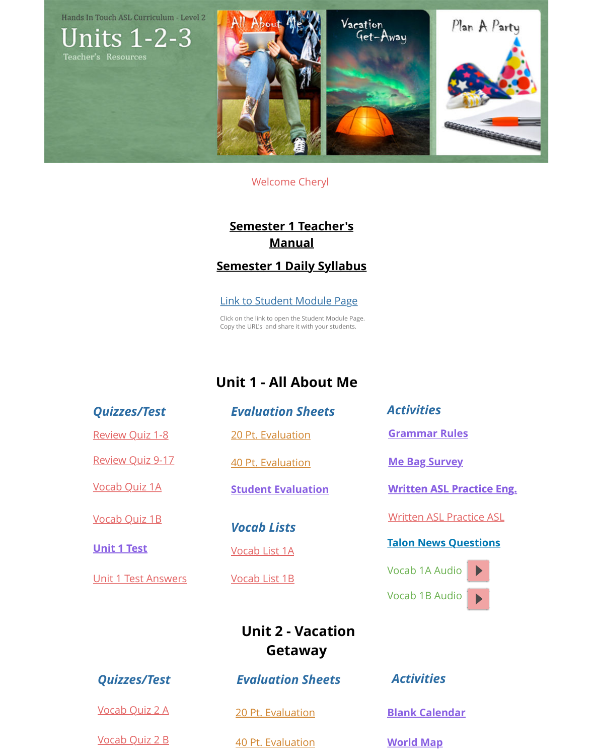# **Unit 1 - All Abc**

#### *Quizzes/Test*

Review Quiz 1-8

Review Quiz 9-17

Vocab Quiz 1A

Vocab Quiz 1B

**Talon News Act 2 Test**<br> **Talon News Act 2 Yocab List 1A** 

Unit 1 Test Answers

*Evaluation She* 

20 Pt. Evaluation

40 Pt. Evaluation

**Student Evaluati** 

*Vocab Lists*

Vocab List 1A

[Vocab List 1B](http://media.wix.com/ugd/a008a9_3e4e417fdfb449ce83d565866ee06c35.pdf)

**Unit 2 - Vac Getawa** 

Vocab Quiz 2 A

Vocab Quiz 2 B

**Quizzes/Test** *Evaluation Sheets* 

20 Pt. Evaluation

40 Pt. Evaluation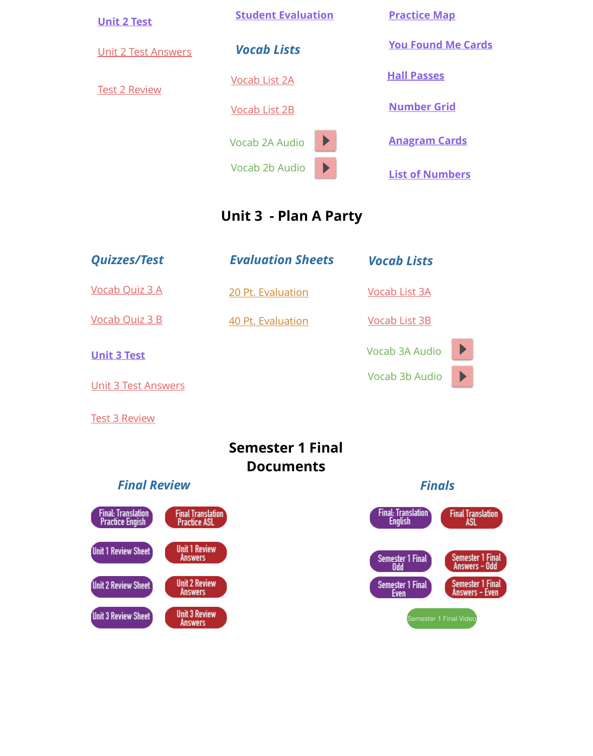**Unit 3 Test**

Unit 3 Test Answers

**Test 3 Review** 

## **[Semester](http://media.wix.com/ugd/a008a9_4d947f5897ef419f9d7a9c69656082da.pdf) 1 F Document**

### **Final Review**

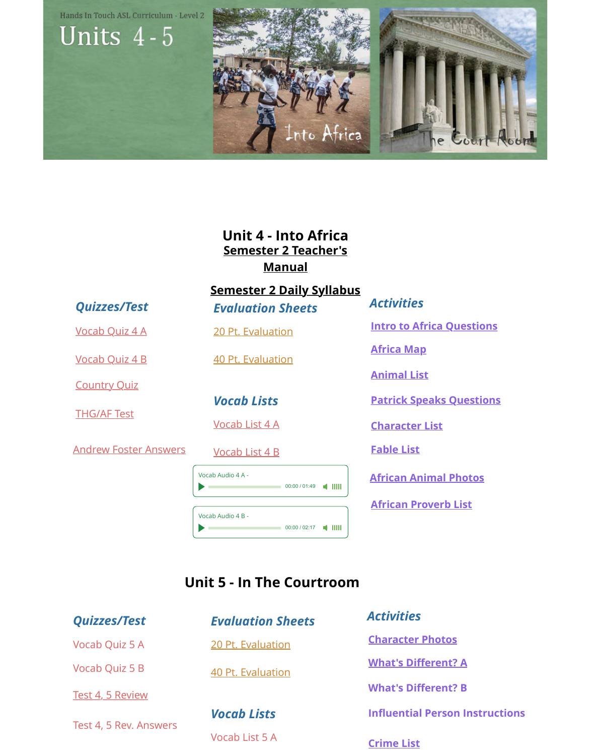

## **Unit 5 - In The Cour**

#### *Quizzes/Test*

Vocab Quiz 5 A

[Vocab Quiz 5 B](http://media.wix.com/ugd/a008a9_afb830f3c9bc408f91d4ed2337c8d046.pdf)

**[Test 4, 5 Review](http://media.wix.com/ugd/a008a9_0b5489ab07d642f7922f1a90f9a1828b.pdf)** 

[Test 4, 5 Rev. A](http://media.wix.com/ugd/a008a9_0757700aaca9435287a55c76ab863dc0.pdf)nswers

## *E[valuation Sheets](http://media.wix.com/ugd/a008a9_f20794b76b6c4c7fb5b3568e2bf787d9.pdf)*

[20 Pt. Evaluation](http://media.wix.com/ugd/a008a9_26c35ed19faa438aab33b6cf0254f435.pdf)

[40 Pt. Evaluation](http://media.wix.com/ugd/a008a9_92f69ab912004b5882b7891f91dd4703.pdf)

*[Vocab Lists](http://media.wix.com/ugd/a008a9_ed20717787294f229b8e271ff33eebc8.pdf)* Vocab List 5 A